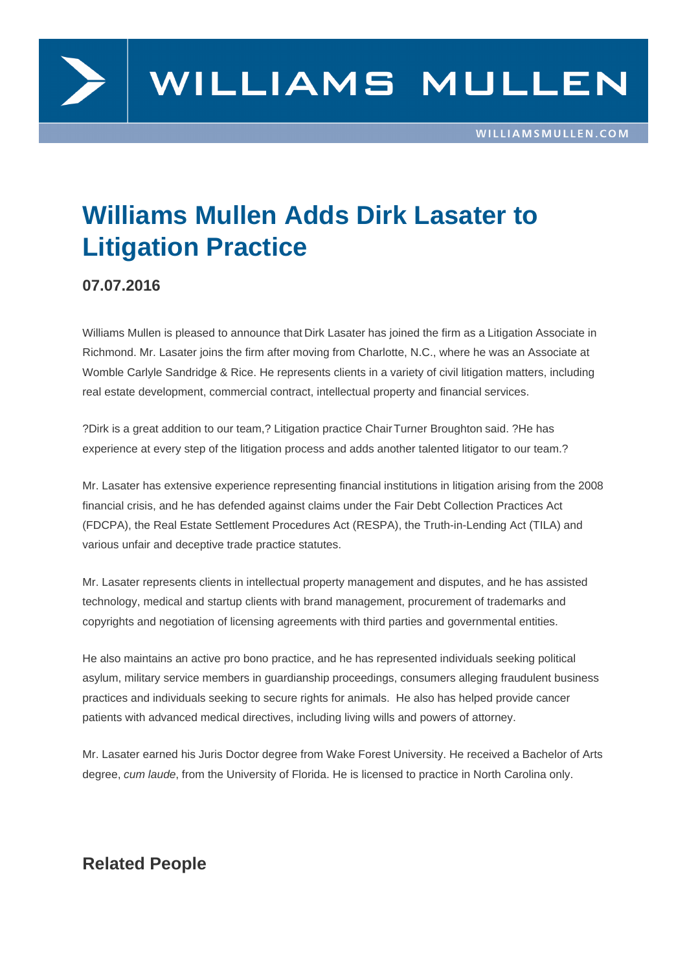## Williams Mullen Adds Dirk Lasater to Litigation Practice

07.07.2016

Williams Mullen is pleased to announce that Dirk Lasater has joined the firm as a Litigation Associate in Richmond. Mr. Lasater joins the firm after moving from Charlotte, N.C., where he was an Associate at Womble Carlyle Sandridge & Rice. He represents clients in a variety of civil litigation matters, including real estate development, commercial contra[ct, intellectua](http://www.williamsmullen.com/people/dirk-lasater)l property and financial [services.](http://www.williamsmullen.com/practice/litigation) 

?Dirk is a great addition to our team,? Litigation practice Chair Turner Broughton said. ?He has experience at every step of the litigation process and adds another talented litigator to our team.?

Mr. Lasater has extensive experience representing financial in[stitutions in litigatio](http://www.williamsmullen.com/people/turner-broughton)n arising from the 2008 financial crisis, and he has defended against claims under the Fair Debt Collection Practices Act (FDCPA), the Real Estate Settlement Procedures Act (RESPA), the Truth-in-Lending Act (TILA) and various unfair and deceptive trade practice statutes.

Mr. Lasater represents clients in intellectual property management and disputes, and he has assisted technology, medical and startup clients with brand management, procurement of trademarks and copyrights and negotiation of licensing agreements with third parties and governmental entities.

He also maintains an active pro bono practice, and he has represented individuals seeking political asylum, military service members in guardianship proceedings, consumers alleging fraudulent business practices and individuals seeking to secure rights for animals. He also has helped provide cancer patients with advanced medical directives, including living wills and powers of attorney.

Mr. Lasater earned his Juris Doctor degree from Wake Forest University. He received a Bachelor of Arts degree, cum laude, from the University of Florida. He is licensed to practice in North Carolina only.

## Related People